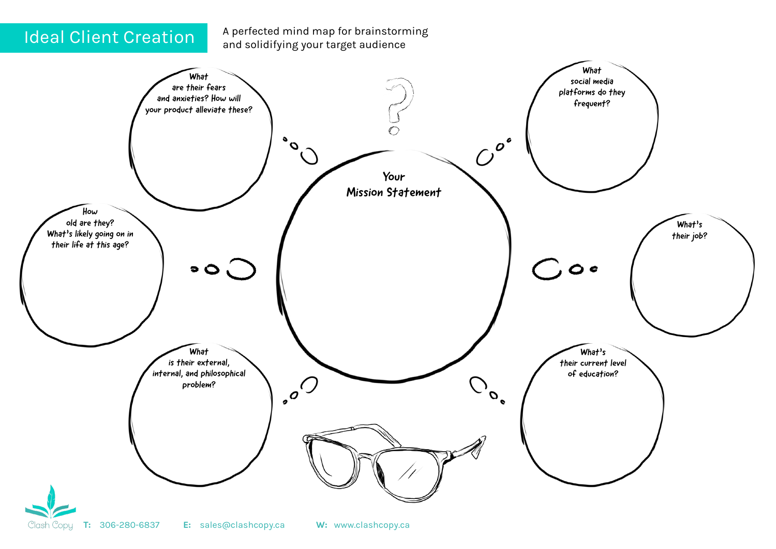Ideal Client Creation A perfected mind map for brainstorming and solidifying your target audience